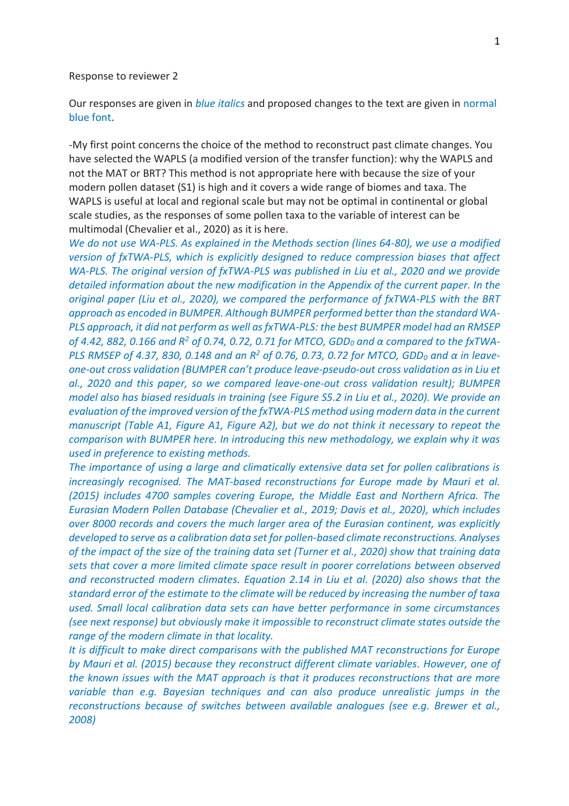#### Response to reviewer 2

Our responses are given in *blue italics* and proposed changes to the text are given in normal blue font.

-My first point concerns the choice of the method to reconstruct past climate changes. You have selected the WAPLS (a modified version of the transfer function): why the WAPLS and not the MAT or BRT? This method is not appropriate here with because the size of your modern pollen dataset (S1) is high and it covers a wide range of biomes and taxa. The WAPLS is useful at local and regional scale but may not be optimal in continental or global scale studies, as the responses of some pollen taxa to the variable of interest can be multimodal (Chevalier et al., 2020) as it is here.

*We do not use WA-PLS. As explained in the Methods section (lines 64-80), we use a modified version of fxTWA-PLS, which is explicitly designed to reduce compression biases that affect WA-PLS. The original version of fxTWA-PLS was published in Liu et al., 2020 and we provide detailed information about the new modification in the Appendix of the current paper. In the original paper (Liu et al., 2020), we compared the performance of fxTWA-PLS with the BRT approach as encoded in BUMPER. Although BUMPER performed better than the standard WA-PLS approach, it did not perform as well as fxTWA-PLS: the best BUMPER model had an RMSEP of 4.42, 882, 0.166 and R<sup>2</sup> of 0.74, 0.72, 0.71 for MTCO, GDD<sup>0</sup> and α compared to the fxTWA-PLS RMSEP of 4.37, 830, 0.148 and an R<sup>2</sup> of 0.76, 0.73, 0.72 for MTCO, GDD<sup>0</sup> and α in leaveone-out cross validation (BUMPER can't produce leave-pseudo-out cross validation as in Liu et al., 2020 and this paper, so we compared leave-one-out cross validation result); BUMPER model also has biased residuals in training (see Figure S5.2 in Liu et al., 2020). We provide an evaluation of the improved version of the fxTWA-PLS method using modern data in the current manuscript (Table A1, Figure A1, Figure A2), but we do not think it necessary to repeat the comparison with BUMPER here. In introducing this new methodology, we explain why it was used in preference to existing methods.*

*The importance of using a large and climatically extensive data set for pollen calibrations is increasingly recognised. The MAT-based reconstructions for Europe made by Mauri et al. (2015) includes 4700 samples covering Europe, the Middle East and Northern Africa. The Eurasian Modern Pollen Database (Chevalier et al., 2019; Davis et al., 2020), which includes over 8000 records and covers the much larger area of the Eurasian continent, was explicitly developed to serve as a calibration data set for pollen-based climate reconstructions. Analyses of the impact of the size of the training data set (Turner et al., 2020) show that training data sets that cover a more limited climate space result in poorer correlations between observed and reconstructed modern climates. Equation 2.14 in Liu et al. (2020) also shows that the standard error of the estimate to the climate will be reduced by increasing the number of taxa used. Small local calibration data sets can have better performance in some circumstances (see next response) but obviously make it impossible to reconstruct climate states outside the range of the modern climate in that locality.*

*It is difficult to make direct comparisons with the published MAT reconstructions for Europe by Mauri et al. (2015) because they reconstruct different climate variables. However, one of the known issues with the MAT approach is that it produces reconstructions that are more variable than e.g. Bayesian techniques and can also produce unrealistic jumps in the reconstructions because of switches between available analogues (see e.g. Brewer et al., 2008)*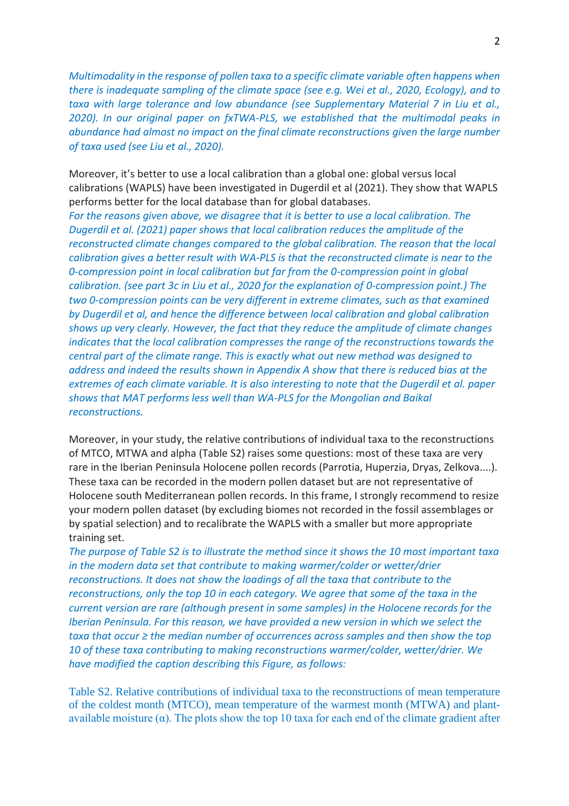*Multimodality in the response of pollen taxa to a specific climate variable often happens when there is inadequate sampling of the climate space (see e.g. Wei et al., 2020, Ecology), and to taxa with large tolerance and low abundance (see Supplementary Material 7 in Liu et al., 2020). In our original paper on fxTWA-PLS, we established that the multimodal peaks in abundance had almost no impact on the final climate reconstructions given the large number of taxa used (see Liu et al., 2020).*

Moreover, it's better to use a local calibration than a global one: global versus local calibrations (WAPLS) have been investigated in Dugerdil et al (2021). They show that WAPLS performs better for the local database than for global databases.

*For the reasons given above, we disagree that it is better to use a local calibration. The Dugerdil et al. (2021) paper shows that local calibration reduces the amplitude of the reconstructed climate changes compared to the global calibration. The reason that the local calibration gives a better result with WA-PLS is that the reconstructed climate is near to the 0-compression point in local calibration but far from the 0-compression point in global calibration. (see part 3c in Liu et al., 2020 for the explanation of 0-compression point.) The two 0-compression points can be very different in extreme climates, such as that examined by Dugerdil et al, and hence the difference between local calibration and global calibration shows up very clearly. However, the fact that they reduce the amplitude of climate changes indicates that the local calibration compresses the range of the reconstructions towards the central part of the climate range. This is exactly what out new method was designed to address and indeed the results shown in Appendix A show that there is reduced bias at the extremes of each climate variable. It is also interesting to note that the Dugerdil et al. paper shows that MAT performs less well than WA-PLS for the Mongolian and Baikal reconstructions.*

Moreover, in your study, the relative contributions of individual taxa to the reconstructions of MTCO, MTWA and alpha (Table S2) raises some questions: most of these taxa are very rare in the Iberian Peninsula Holocene pollen records (Parrotia, Huperzia, Dryas, Zelkova....). These taxa can be recorded in the modern pollen dataset but are not representative of Holocene south Mediterranean pollen records. In this frame, I strongly recommend to resize your modern pollen dataset (by excluding biomes not recorded in the fossil assemblages or by spatial selection) and to recalibrate the WAPLS with a smaller but more appropriate training set.

*The purpose of Table S2 is to illustrate the method since it shows the 10 most important taxa in the modern data set that contribute to making warmer/colder or wetter/drier reconstructions. It does not show the loadings of all the taxa that contribute to the reconstructions, only the top 10 in each category. We agree that some of the taxa in the current version are rare (although present in some samples) in the Holocene records for the Iberian Peninsula. For this reason, we have provided a new version in which we select the taxa that occur ≥ the median number of occurrences across samples and then show the top 10 of these taxa contributing to making reconstructions warmer/colder, wetter/drier. We have modified the caption describing this Figure, as follows:*

Table S2. Relative contributions of individual taxa to the reconstructions of mean temperature of the coldest month (MTCO), mean temperature of the warmest month (MTWA) and plantavailable moisture  $(\alpha)$ . The plots show the top 10 taxa for each end of the climate gradient after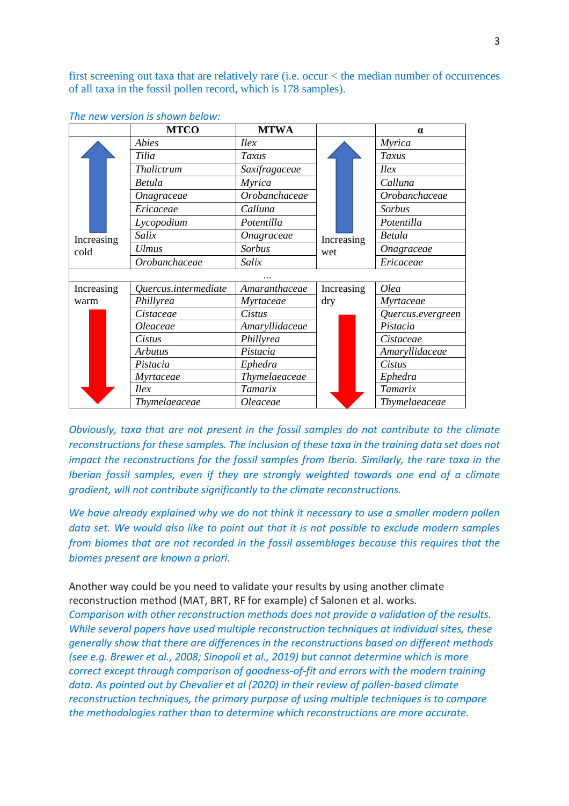first screening out taxa that are relatively rare (i.e. occur < the median number of occurrences of all taxa in the fossil pollen record, which is 178 samples).

|                    | <b>MTCO</b>          | <b>MTWA</b>    |                   | $\alpha$          |
|--------------------|----------------------|----------------|-------------------|-------------------|
| Increasing<br>cold | <b>Abies</b>         | Ilex           | Increasing<br>wet | <b>Myrica</b>     |
|                    | Tilia                | Taxus          |                   | Taxus             |
|                    | Thalictrum           | Saxifragaceae  |                   | Ilex              |
|                    | Betula               | Myrica         |                   | Calluna           |
|                    | Onagraceae           | Orobanchaceae  |                   | Orobanchaceae     |
|                    | Ericaceae            | Calluna        |                   | Sorbus            |
|                    | Lycopodium           | Potentilla     |                   | Potentilla        |
|                    | Salix                | Onagraceae     |                   | Betula            |
|                    | <b>Ulmus</b>         | Sorbus         |                   | Onagraceae        |
|                    | Orobanchaceae        | Salix          |                   | Ericaceae         |
|                    |                      |                |                   |                   |
| Increasing         | Quercus.intermediate | Amaranthaceae  | Increasing        | Olea              |
| warm               | Phillyrea            | Myrtaceae      | dry               | Myrtaceae         |
|                    | Cistaceae            | Cistus         |                   | Quercus.evergreen |
|                    | Oleaceae             | Amaryllidaceae |                   | Pistacia          |
|                    | Cistus               | Phillyrea      |                   | Cistaceae         |
|                    | <b>Arbutus</b>       | Pistacia       |                   | Amaryllidaceae    |
|                    | Pistacia             | Ephedra        |                   | Cistus            |
|                    | Myrtaceae            | Thymelaeaceae  |                   | Ephedra           |
|                    | Ilex                 | Tamarix        |                   | Tamarix           |
|                    | Thymelaeaceae        | Oleaceae       |                   | Thymelaeaceae     |

| The new version is shown below: |  |  |
|---------------------------------|--|--|
|---------------------------------|--|--|

*Obviously, taxa that are not present in the fossil samples do not contribute to the climate reconstructions for these samples. The inclusion of these taxa in the training data set does not impact the reconstructions for the fossil samples from Iberia. Similarly, the rare taxa in the Iberian fossil samples, even if they are strongly weighted towards one end of a climate gradient, will not contribute significantly to the climate reconstructions.* 

*We have already explained why we do not think it necessary to use a smaller modern pollen data set. We would also like to point out that it is not possible to exclude modern samples from biomes that are not recorded in the fossil assemblages because this requires that the biomes present are known a priori.*

Another way could be you need to validate your results by using another climate reconstruction method (MAT, BRT, RF for example) cf Salonen et al. works. *Comparison with other reconstruction methods does not provide a validation of the results. While several papers have used multiple reconstruction techniques at individual sites, these generally show that there are differences in the reconstructions based on different methods (see e.g. Brewer et al., 2008; Sinopoli et al., 2019) but cannot determine which is more correct except through comparison of goodness-of-fit and errors with the modern training data. As pointed out by Chevalier et al (2020) in their review of pollen-based climate reconstruction techniques, the primary purpose of using multiple techniques is to compare the methodologies rather than to determine which reconstructions are more accurate.*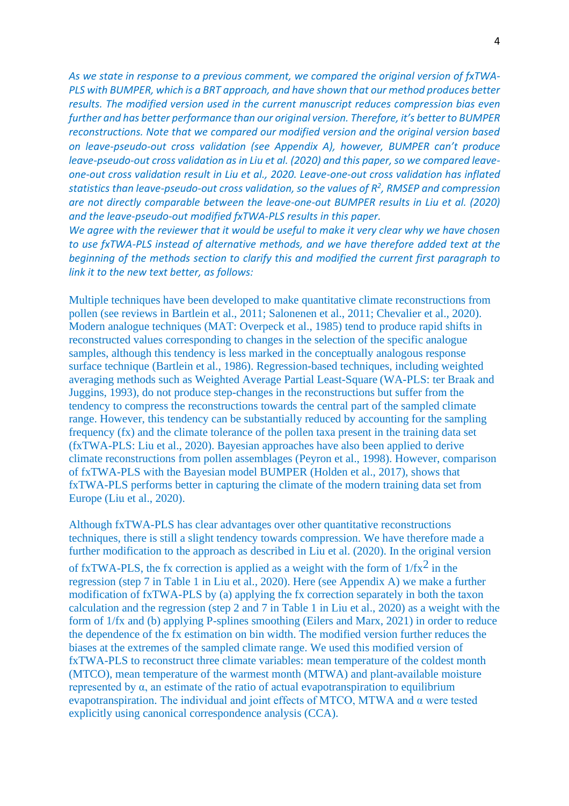*As we state in response to a previous comment, we compared the original version of fxTWA-PLS with BUMPER, which is a BRT approach, and have shown that our method produces better results. The modified version used in the current manuscript reduces compression bias even further and has better performance than our original version. Therefore, it's better to BUMPER reconstructions. Note that we compared our modified version and the original version based on leave-pseudo-out cross validation (see Appendix A), however, BUMPER can't produce leave-pseudo-out cross validation as in Liu et al. (2020) and this paper, so we compared leaveone-out cross validation result in Liu et al., 2020. Leave-one-out cross validation has inflated statistics than leave-pseudo-out cross validation, so the values of R<sup>2</sup> , RMSEP and compression are not directly comparable between the leave-one-out BUMPER results in Liu et al. (2020) and the leave-pseudo-out modified fxTWA-PLS results in this paper.*

*We agree with the reviewer that it would be useful to make it very clear why we have chosen to use fxTWA-PLS instead of alternative methods, and we have therefore added text at the beginning of the methods section to clarify this and modified the current first paragraph to link it to the new text better, as follows:*

Multiple techniques have been developed to make quantitative climate reconstructions from pollen (see reviews in Bartlein et al., 2011; Salonenen et al., 2011; Chevalier et al., 2020). Modern analogue techniques (MAT: Overpeck et al., 1985) tend to produce rapid shifts in reconstructed values corresponding to changes in the selection of the specific analogue samples, although this tendency is less marked in the conceptually analogous response surface technique (Bartlein et al., 1986). Regression-based techniques, including weighted averaging methods such as Weighted Average Partial Least-Square (WA-PLS: ter Braak and Juggins, 1993), do not produce step-changes in the reconstructions but suffer from the tendency to compress the reconstructions towards the central part of the sampled climate range. However, this tendency can be substantially reduced by accounting for the sampling frequency (fx) and the climate tolerance of the pollen taxa present in the training data set (fxTWA-PLS: Liu et al., 2020). Bayesian approaches have also been applied to derive climate reconstructions from pollen assemblages (Peyron et al., 1998). However, comparison of fxTWA-PLS with the Bayesian model BUMPER (Holden et al., 2017), shows that fxTWA-PLS performs better in capturing the climate of the modern training data set from Europe (Liu et al., 2020).

Although fxTWA-PLS has clear advantages over other quantitative reconstructions techniques, there is still a slight tendency towards compression. We have therefore made a further modification to the approach as described in Liu et al. (2020). In the original version of fxTWA-PLS, the fx correction is applied as a weight with the form of  $1/fx^2$  in the regression (step 7 in Table 1 in Liu et al., 2020). Here (see Appendix A) we make a further modification of fxTWA-PLS by (a) applying the fx correction separately in both the taxon calculation and the regression (step 2 and 7 in Table 1 in Liu et al., 2020) as a weight with the form of 1/fx and (b) applying P-splines smoothing (Eilers and Marx, 2021) in order to reduce the dependence of the fx estimation on bin width. The modified version further reduces the biases at the extremes of the sampled climate range. We used this modified version of fxTWA-PLS to reconstruct three climate variables: mean temperature of the coldest month (MTCO), mean temperature of the warmest month (MTWA) and plant-available moisture represented by α, an estimate of the ratio of actual evapotranspiration to equilibrium evapotranspiration. The individual and joint effects of MTCO, MTWA and α were tested explicitly using canonical correspondence analysis (CCA).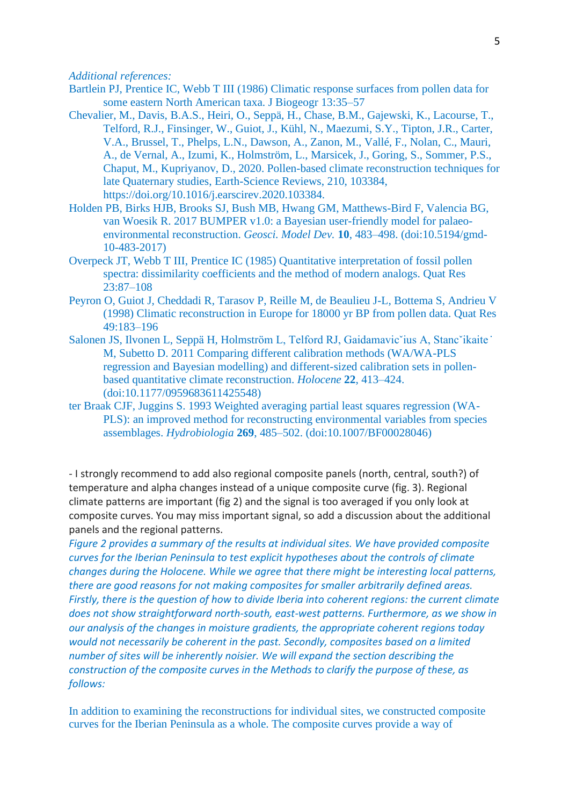## *Additional references:*

- Bartlein PJ, Prentice IC, Webb T III (1986) Climatic response surfaces from pollen data for some eastern North American taxa. J Biogeogr 13:35–57
- Chevalier, M., Davis, B.A.S., Heiri, O., Seppä, H., Chase, B.M., Gajewski, K., Lacourse, T., Telford, R.J., Finsinger, W., Guiot, J., Kühl, N., Maezumi, S.Y., Tipton, J.R., Carter, V.A., Brussel, T., Phelps, L.N., Dawson, A., Zanon, M., Vallé, F., Nolan, C., Mauri, A., de Vernal, A., Izumi, K., Holmström, L., Marsicek, J., Goring, S., Sommer, P.S., Chaput, M., Kupriyanov, D., 2020. Pollen-based climate reconstruction techniques for late Quaternary studies, Earth-Science Reviews, 210, 103384, https://doi.org/10.1016/j.earscirev.2020.103384.
- Holden PB, Birks HJB, Brooks SJ, Bush MB, Hwang GM, Matthews-Bird F, Valencia BG, van Woesik R. 2017 BUMPER v1.0: a Bayesian user-friendly model for palaeoenvironmental reconstruction. *Geosci. Model Dev.* **10**, 483–498. (doi:10.5194/gmd-10-483-2017)
- Overpeck JT, Webb T III, Prentice IC (1985) Quantitative interpretation of fossil pollen spectra: dissimilarity coefficients and the method of modern analogs. Quat Res 23:87–108
- Peyron O, Guiot J, Cheddadi R, Tarasov P, Reille M, de Beaulieu J-L, Bottema S, Andrieu V (1998) Climatic reconstruction in Europe for 18000 yr BP from pollen data. Quat Res 49:183–196
- Salonen JS, Ilvonen L, Seppä H, Holmström L, Telford RJ, Gaidamavic`ius A, Stanc`ikaite` M, Subetto D. 2011 Comparing different calibration methods (WA/WA-PLS regression and Bayesian modelling) and different-sized calibration sets in pollenbased quantitative climate reconstruction. *Holocene* **22**, 413–424. (doi:10.1177/0959683611425548)
- ter Braak CJF, Juggins S. 1993 Weighted averaging partial least squares regression (WA-PLS): an improved method for reconstructing environmental variables from species assemblages. *Hydrobiologia* **269**, 485–502. (doi:10.1007/BF00028046)

- I strongly recommend to add also regional composite panels (north, central, south?) of temperature and alpha changes instead of a unique composite curve (fig. 3). Regional climate patterns are important (fig 2) and the signal is too averaged if you only look at composite curves. You may miss important signal, so add a discussion about the additional panels and the regional patterns.

*Figure 2 provides a summary of the results at individual sites. We have provided composite curves for the Iberian Peninsula to test explicit hypotheses about the controls of climate changes during the Holocene. While we agree that there might be interesting local patterns, there are good reasons for not making composites for smaller arbitrarily defined areas. Firstly, there is the question of how to divide Iberia into coherent regions: the current climate does not show straightforward north-south, east-west patterns. Furthermore, as we show in our analysis of the changes in moisture gradients, the appropriate coherent regions today would not necessarily be coherent in the past. Secondly, composites based on a limited number of sites will be inherently noisier. We will expand the section describing the construction of the composite curves in the Methods to clarify the purpose of these, as follows:*

In addition to examining the reconstructions for individual sites, we constructed composite curves for the Iberian Peninsula as a whole. The composite curves provide a way of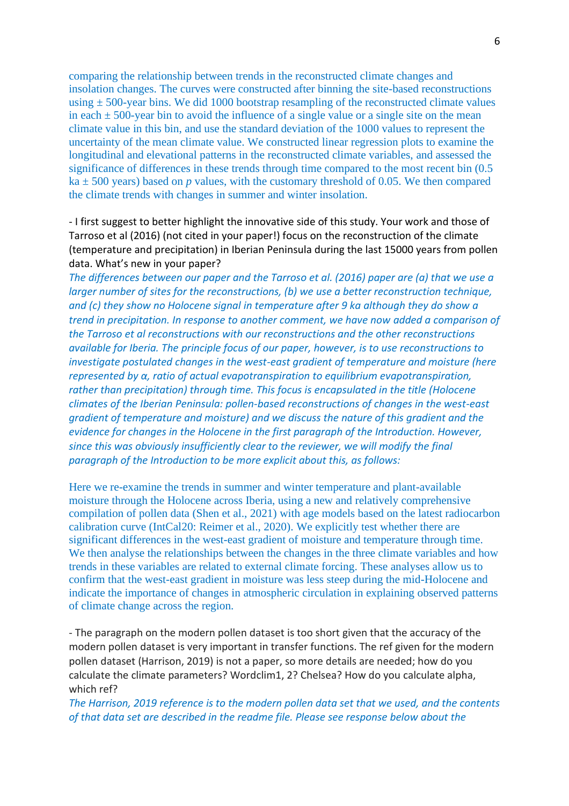comparing the relationship between trends in the reconstructed climate changes and insolation changes. The curves were constructed after binning the site-based reconstructions using  $\pm$  500-year bins. We did 1000 bootstrap resampling of the reconstructed climate values in each  $\pm$  500-year bin to avoid the influence of a single value or a single site on the mean climate value in this bin, and use the standard deviation of the 1000 values to represent the uncertainty of the mean climate value. We constructed linear regression plots to examine the longitudinal and elevational patterns in the reconstructed climate variables, and assessed the significance of differences in these trends through time compared to the most recent bin (0.5  $ka \pm 500$  years) based on *p* values, with the customary threshold of 0.05. We then compared the climate trends with changes in summer and winter insolation.

- I first suggest to better highlight the innovative side of this study. Your work and those of Tarroso et al (2016) (not cited in your paper!) focus on the reconstruction of the climate (temperature and precipitation) in Iberian Peninsula during the last 15000 years from pollen data. What's new in your paper?

*The differences between our paper and the Tarroso et al. (2016) paper are (a) that we use a larger number of sites for the reconstructions, (b) we use a better reconstruction technique, and (c) they show no Holocene signal in temperature after 9 ka although they do show a trend in precipitation. In response to another comment, we have now added a comparison of the Tarroso et al reconstructions with our reconstructions and the other reconstructions available for Iberia. The principle focus of our paper, however, is to use reconstructions to investigate postulated changes in the west-east gradient of temperature and moisture (here represented by α, ratio of actual evapotranspiration to equilibrium evapotranspiration, rather than precipitation) through time. This focus is encapsulated in the title (Holocene climates of the Iberian Peninsula: pollen-based reconstructions of changes in the west-east gradient of temperature and moisture) and we discuss the nature of this gradient and the evidence for changes in the Holocene in the first paragraph of the Introduction. However, since this was obviously insufficiently clear to the reviewer, we will modify the final paragraph of the Introduction to be more explicit about this, as follows:*

Here we re-examine the trends in summer and winter temperature and plant-available moisture through the Holocene across Iberia, using a new and relatively comprehensive compilation of pollen data (Shen et al., 2021) with age models based on the latest radiocarbon calibration curve (IntCal20: Reimer et al., 2020). We explicitly test whether there are significant differences in the west-east gradient of moisture and temperature through time. We then analyse the relationships between the changes in the three climate variables and how trends in these variables are related to external climate forcing. These analyses allow us to confirm that the west-east gradient in moisture was less steep during the mid-Holocene and indicate the importance of changes in atmospheric circulation in explaining observed patterns of climate change across the region.

- The paragraph on the modern pollen dataset is too short given that the accuracy of the modern pollen dataset is very important in transfer functions. The ref given for the modern pollen dataset (Harrison, 2019) is not a paper, so more details are needed; how do you calculate the climate parameters? Wordclim1, 2? Chelsea? How do you calculate alpha, which ref?

*The Harrison, 2019 reference is to the modern pollen data set that we used, and the contents of that data set are described in the readme file. Please see response below about the*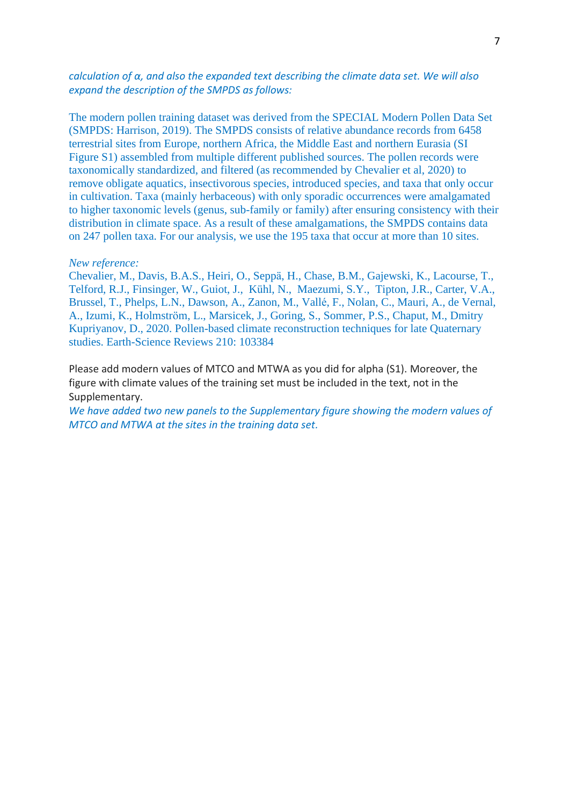# *calculation of α, and also the expanded text describing the climate data set. We will also expand the description of the SMPDS as follows:*

The modern pollen training dataset was derived from the SPECIAL Modern Pollen Data Set (SMPDS: Harrison, 2019). The SMPDS consists of relative abundance records from 6458 terrestrial sites from Europe, northern Africa, the Middle East and northern Eurasia (SI Figure S1) assembled from multiple different published sources. The pollen records were taxonomically standardized, and filtered (as recommended by Chevalier et al, 2020) to remove obligate aquatics, insectivorous species, introduced species, and taxa that only occur in cultivation. Taxa (mainly herbaceous) with only sporadic occurrences were amalgamated to higher taxonomic levels (genus, sub-family or family) after ensuring consistency with their distribution in climate space. As a result of these amalgamations, the SMPDS contains data on 247 pollen taxa. For our analysis, we use the 195 taxa that occur at more than 10 sites.

## *New reference:*

Chevalier, M., Davis, B.A.S., Heiri, O., Seppä, H., Chase, B.M., Gajewski, K., Lacourse, T., Telford, R.J., Finsinger, W., Guiot, J., Kühl, N., Maezumi, S.Y., Tipton, J.R., Carter, V.A., Brussel, T., Phelps, L.N., Dawson, A., Zanon, M., Vallé, F., Nolan, C., Mauri, A., de Vernal, A., Izumi, K., Holmström, L., Marsicek, J., Goring, S., Sommer, P.S., Chaput, M., Dmitry Kupriyanov, D., 2020. Pollen-based climate reconstruction techniques for late Quaternary studies. Earth-Science Reviews 210: 103384

Please add modern values of MTCO and MTWA as you did for alpha (S1). Moreover, the figure with climate values of the training set must be included in the text, not in the Supplementary.

*We have added two new panels to the Supplementary figure showing the modern values of MTCO and MTWA at the sites in the training data set.*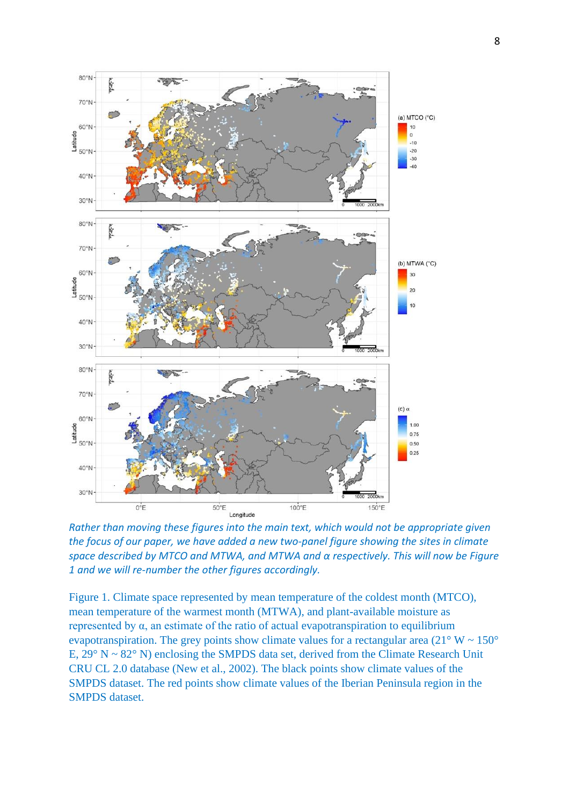

*Rather than moving these figures into the main text, which would not be appropriate given the focus of our paper, we have added a new two-panel figure showing the sites in climate space described by MTCO and MTWA, and MTWA and α respectively. This will now be Figure 1 and we will re-number the other figures accordingly.*

Figure 1. Climate space represented by mean temperature of the coldest month (MTCO), mean temperature of the warmest month (MTWA), and plant-available moisture as represented by α, an estimate of the ratio of actual evapotranspiration to equilibrium evapotranspiration. The grey points show climate values for a rectangular area  $(21^{\circ} W \sim 150^{\circ}$ E, 29° N ~ 82° N) enclosing the SMPDS data set, derived from the Climate Research Unit CRU CL 2.0 database (New et al., 2002). The black points show climate values of the SMPDS dataset. The red points show climate values of the Iberian Peninsula region in the SMPDS dataset.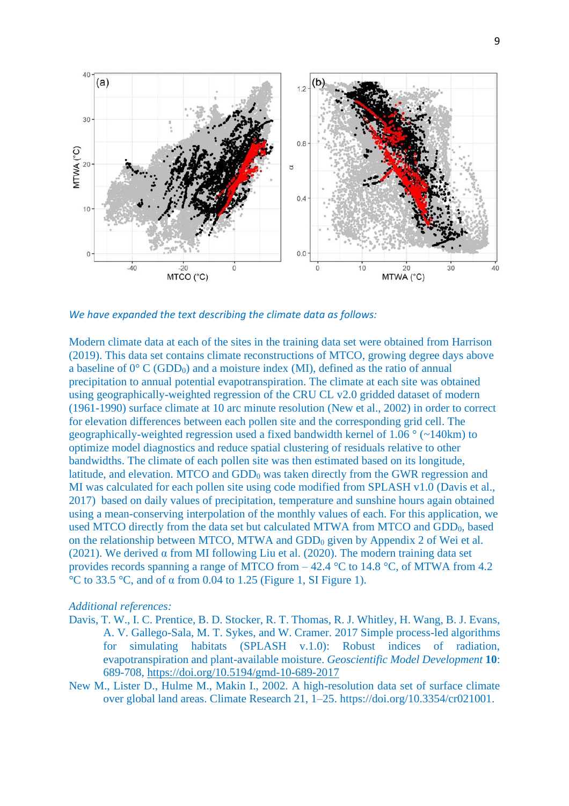

*We have expanded the text describing the climate data as follows:*

Modern climate data at each of the sites in the training data set were obtained from Harrison (2019). This data set contains climate reconstructions of MTCO, growing degree days above a baseline of  $0^{\circ}$  C (GDD<sub>0</sub>) and a moisture index (MI), defined as the ratio of annual precipitation to annual potential evapotranspiration. The climate at each site was obtained using geographically-weighted regression of the CRU CL v2.0 gridded dataset of modern (1961-1990) surface climate at 10 arc minute resolution (New et al., 2002) in order to correct for elevation differences between each pollen site and the corresponding grid cell. The geographically-weighted regression used a fixed bandwidth kernel of 1.06 ° (~140km) to optimize model diagnostics and reduce spatial clustering of residuals relative to other bandwidths. The climate of each pollen site was then estimated based on its longitude, latitude, and elevation. MTCO and GDD<sub>0</sub> was taken directly from the GWR regression and MI was calculated for each pollen site using code modified from SPLASH v1.0 (Davis et al., 2017) based on daily values of precipitation, temperature and sunshine hours again obtained using a mean-conserving interpolation of the monthly values of each. For this application, we used MTCO directly from the data set but calculated MTWA from MTCO and GDD<sub>0</sub>, based on the relationship between MTCO, MTWA and GDD<sup>0</sup> given by Appendix 2 of Wei et al. (2021). We derived  $\alpha$  from MI following Liu et al. (2020). The modern training data set provides records spanning a range of MTCO from – 42.4 °C to 14.8 °C, of MTWA from 4.2 °C to 33.5 °C, and of α from 0.04 to 1.25 (Figure 1, SI Figure 1).

#### *Additional references:*

- Davis, T. W., I. C. Prentice, B. D. Stocker, R. T. Thomas, R. J. Whitley, H. Wang, B. J. Evans, A. V. Gallego-Sala, M. T. Sykes, and W. Cramer. 2017 Simple process-led algorithms for simulating habitats (SPLASH v.1.0): Robust indices of radiation, evapotranspiration and plant-available moisture. *Geoscientific Model Development* **10**: 689-708,<https://doi.org/10.5194/gmd-10-689-2017>
- New M., Lister D., Hulme M., Makin I., 2002. A high-resolution data set of surface climate over global land areas. Climate Research 21, 1–25. https://doi.org/10.3354/cr021001.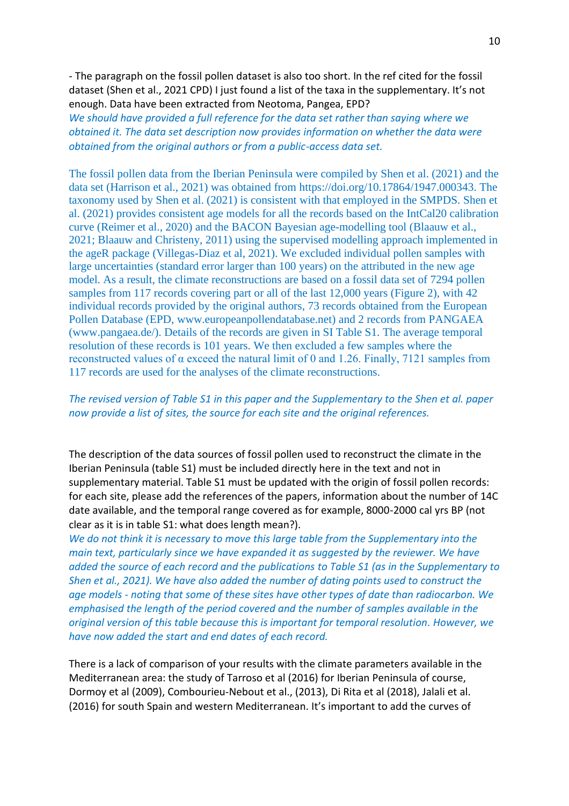- The paragraph on the fossil pollen dataset is also too short. In the ref cited for the fossil dataset (Shen et al., 2021 CPD) I just found a list of the taxa in the supplementary. It's not enough. Data have been extracted from Neotoma, Pangea, EPD?

*We should have provided a full reference for the data set rather than saying where we obtained it. The data set description now provides information on whether the data were obtained from the original authors or from a public-access data set.* 

The fossil pollen data from the Iberian Peninsula were compiled by Shen et al. (2021) and the data set (Harrison et al., 2021) was obtained from https://doi.org/10.17864/1947.000343. The taxonomy used by Shen et al. (2021) is consistent with that employed in the SMPDS. Shen et al. (2021) provides consistent age models for all the records based on the IntCal20 calibration curve (Reimer et al., 2020) and the BACON Bayesian age-modelling tool (Blaauw et al., 2021; Blaauw and Christeny, 2011) using the supervised modelling approach implemented in the ageR package (Villegas-Diaz et al, 2021). We excluded individual pollen samples with large uncertainties (standard error larger than 100 years) on the attributed in the new age model. As a result, the climate reconstructions are based on a fossil data set of 7294 pollen samples from 117 records covering part or all of the last 12,000 years (Figure 2), with 42 individual records provided by the original authors, 73 records obtained from the European Pollen Database (EPD, www.europeanpollendatabase.net) and 2 records from PANGAEA (www.pangaea.de/). Details of the records are given in SI Table S1. The average temporal resolution of these records is 101 years. We then excluded a few samples where the reconstructed values of α exceed the natural limit of 0 and 1.26. Finally, 7121 samples from 117 records are used for the analyses of the climate reconstructions.

# *The revised version of Table S1 in this paper and the Supplementary to the Shen et al. paper now provide a list of sites, the source for each site and the original references.*

The description of the data sources of fossil pollen used to reconstruct the climate in the Iberian Peninsula (table S1) must be included directly here in the text and not in supplementary material. Table S1 must be updated with the origin of fossil pollen records: for each site, please add the references of the papers, information about the number of 14C date available, and the temporal range covered as for example, 8000-2000 cal yrs BP (not clear as it is in table S1: what does length mean?).

*We do not think it is necessary to move this large table from the Supplementary into the main text, particularly since we have expanded it as suggested by the reviewer. We have added the source of each record and the publications to Table S1 (as in the Supplementary to Shen et al., 2021). We have also added the number of dating points used to construct the age models - noting that some of these sites have other types of date than radiocarbon. We emphasised the length of the period covered and the number of samples available in the original version of this table because this is important for temporal resolution. However, we have now added the start and end dates of each record.* 

There is a lack of comparison of your results with the climate parameters available in the Mediterranean area: the study of Tarroso et al (2016) for Iberian Peninsula of course, Dormoy et al (2009), Combourieu-Nebout et al., (2013), Di Rita et al (2018), Jalali et al. (2016) for south Spain and western Mediterranean. It's important to add the curves of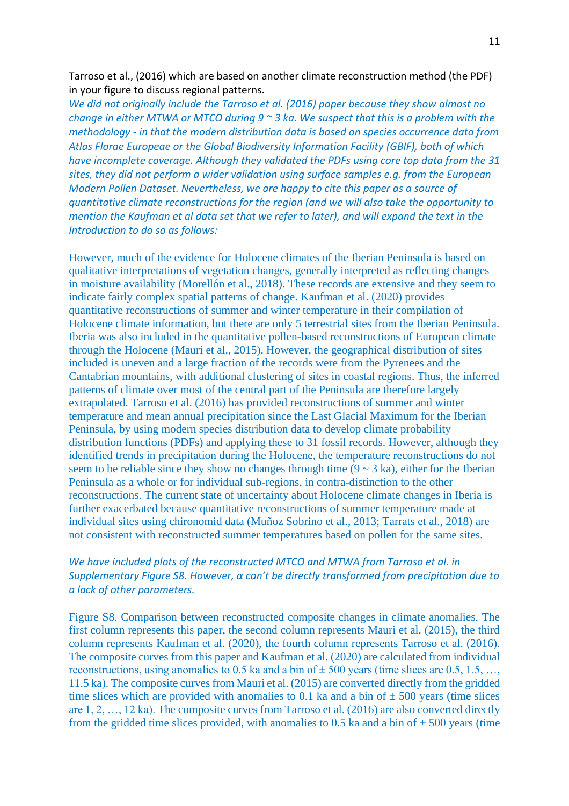Tarroso et al., (2016) which are based on another climate reconstruction method (the PDF) in your figure to discuss regional patterns.

*We did not originally include the Tarroso et al. (2016) paper because they show almost no change in either MTWA or MTCO during 9 ~ 3 ka. We suspect that this is a problem with the methodology - in that the modern distribution data is based on species occurrence data from Atlas Florae Europeae or the Global Biodiversity Information Facility (GBIF), both of which have incomplete coverage. Although they validated the PDFs using core top data from the 31 sites, they did not perform a wider validation using surface samples e.g. from the European Modern Pollen Dataset. Nevertheless, we are happy to cite this paper as a source of quantitative climate reconstructions for the region (and we will also take the opportunity to mention the Kaufman et al data set that we refer to later), and will expand the text in the Introduction to do so as follows:*

However, much of the evidence for Holocene climates of the Iberian Peninsula is based on qualitative interpretations of vegetation changes, generally interpreted as reflecting changes in moisture availability (Morellón et al., 2018). These records are extensive and they seem to indicate fairly complex spatial patterns of change. Kaufman et al. (2020) provides quantitative reconstructions of summer and winter temperature in their compilation of Holocene climate information, but there are only 5 terrestrial sites from the Iberian Peninsula. Iberia was also included in the quantitative pollen-based reconstructions of European climate through the Holocene (Mauri et al., 2015). However, the geographical distribution of sites included is uneven and a large fraction of the records were from the Pyrenees and the Cantabrian mountains, with additional clustering of sites in coastal regions. Thus, the inferred patterns of climate over most of the central part of the Peninsula are therefore largely extrapolated. Tarroso et al. (2016) has provided reconstructions of summer and winter temperature and mean annual precipitation since the Last Glacial Maximum for the Iberian Peninsula, by using modern species distribution data to develop climate probability distribution functions (PDFs) and applying these to 31 fossil records. However, although they identified trends in precipitation during the Holocene, the temperature reconstructions do not seem to be reliable since they show no changes through time  $(9 \sim 3 \text{ ka})$ , either for the Iberian Peninsula as a whole or for individual sub-regions, in contra-distinction to the other reconstructions. The current state of uncertainty about Holocene climate changes in Iberia is further exacerbated because quantitative reconstructions of summer temperature made at individual sites using chironomid data (Muñoz Sobrino et al., 2013; Tarrats et al., 2018) are not consistent with reconstructed summer temperatures based on pollen for the same sites.

# *We have included plots of the reconstructed MTCO and MTWA from Tarroso et al. in Supplementary Figure S8. However, α can't be directly transformed from precipitation due to a lack of other parameters.*

Figure S8. Comparison between reconstructed composite changes in climate anomalies. The first column represents this paper, the second column represents Mauri et al. (2015), the third column represents Kaufman et al. (2020), the fourth column represents Tarroso et al. (2016). The composite curves from this paper and Kaufman et al. (2020) are calculated from individual reconstructions, using anomalies to 0.5 ka and a bin of  $\pm$  500 years (time slices are 0.5, 1.5, ..., 11.5 ka). The composite curves from Mauri et al. (2015) are converted directly from the gridded time slices which are provided with anomalies to 0.1 ka and a bin of  $\pm$  500 years (time slices are 1, 2, …, 12 ka). The composite curves from Tarroso et al. (2016) are also converted directly from the gridded time slices provided, with anomalies to 0.5 ka and a bin of  $\pm$  500 years (time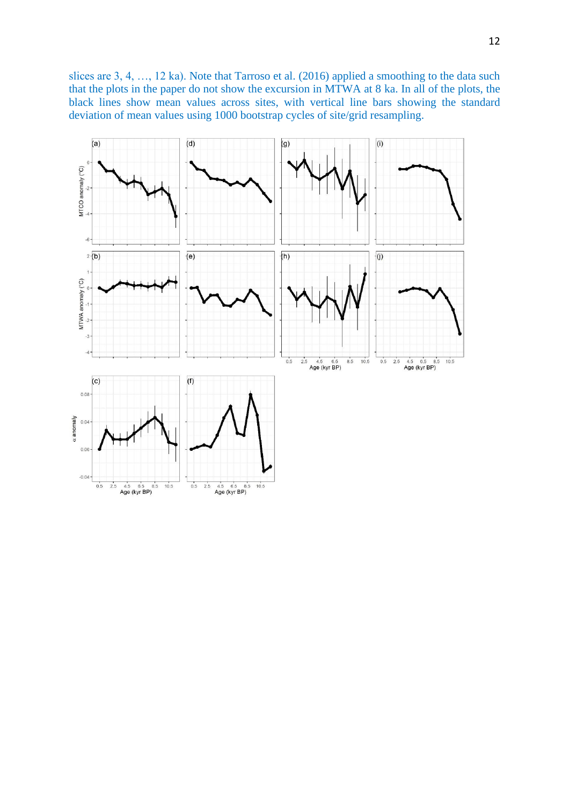slices are 3, 4, …, 12 ka). Note that Tarroso et al. (2016) applied a smoothing to the data such that the plots in the paper do not show the excursion in MTWA at 8 ka. In all of the plots, the black lines show mean values across sites, with vertical line bars showing the standard deviation of mean values using 1000 bootstrap cycles of site/grid resampling.

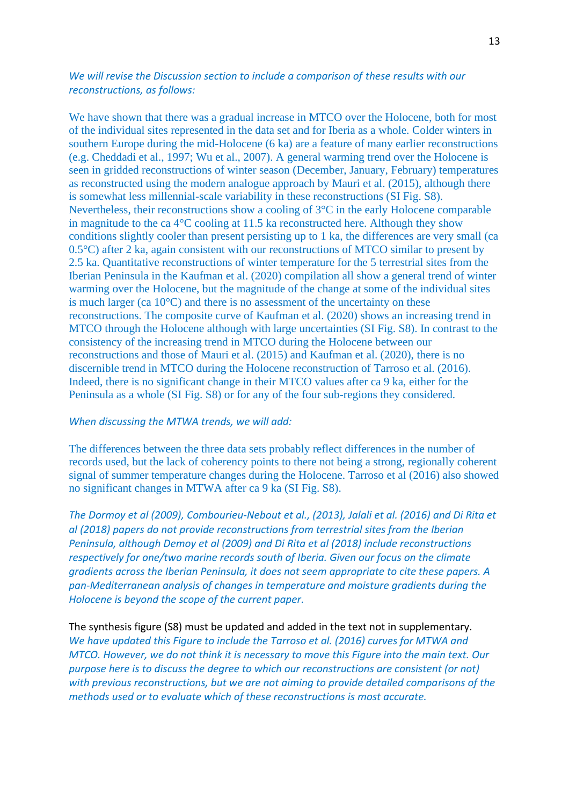# *We will revise the Discussion section to include a comparison of these results with our reconstructions, as follows:*

We have shown that there was a gradual increase in MTCO over the Holocene, both for most of the individual sites represented in the data set and for Iberia as a whole. Colder winters in southern Europe during the mid-Holocene (6 ka) are a feature of many earlier reconstructions (e.g. Cheddadi et al., 1997; Wu et al., 2007). A general warming trend over the Holocene is seen in gridded reconstructions of winter season (December, January, February) temperatures as reconstructed using the modern analogue approach by Mauri et al. (2015), although there is somewhat less millennial-scale variability in these reconstructions (SI Fig. S8). Nevertheless, their reconstructions show a cooling of 3°C in the early Holocene comparable in magnitude to the ca 4°C cooling at 11.5 ka reconstructed here. Although they show conditions slightly cooler than present persisting up to 1 ka, the differences are very small (ca 0.5°C) after 2 ka, again consistent with our reconstructions of MTCO similar to present by 2.5 ka. Quantitative reconstructions of winter temperature for the 5 terrestrial sites from the Iberian Peninsula in the Kaufman et al. (2020) compilation all show a general trend of winter warming over the Holocene, but the magnitude of the change at some of the individual sites is much larger (ca 10°C) and there is no assessment of the uncertainty on these reconstructions. The composite curve of Kaufman et al. (2020) shows an increasing trend in MTCO through the Holocene although with large uncertainties (SI Fig. S8). In contrast to the consistency of the increasing trend in MTCO during the Holocene between our reconstructions and those of Mauri et al. (2015) and Kaufman et al. (2020), there is no discernible trend in MTCO during the Holocene reconstruction of Tarroso et al. (2016). Indeed, there is no significant change in their MTCO values after ca 9 ka, either for the Peninsula as a whole (SI Fig. S8) or for any of the four sub-regions they considered.

#### *When discussing the MTWA trends, we will add:*

The differences between the three data sets probably reflect differences in the number of records used, but the lack of coherency points to there not being a strong, regionally coherent signal of summer temperature changes during the Holocene. Tarroso et al (2016) also showed no significant changes in MTWA after ca 9 ka (SI Fig. S8).

*The Dormoy et al (2009), Combourieu-Nebout et al., (2013), Jalali et al. (2016) and Di Rita et al (2018) papers do not provide reconstructions from terrestrial sites from the Iberian Peninsula, although Demoy et al (2009) and Di Rita et al (2018) include reconstructions respectively for one/two marine records south of Iberia. Given our focus on the climate gradients across the Iberian Peninsula, it does not seem appropriate to cite these papers. A pan-Mediterranean analysis of changes in temperature and moisture gradients during the Holocene is beyond the scope of the current paper.*

# The synthesis figure (S8) must be updated and added in the text not in supplementary. *We have updated this Figure to include the Tarroso et al. (2016) curves for MTWA and MTCO. However, we do not think it is necessary to move this Figure into the main text. Our purpose here is to discuss the degree to which our reconstructions are consistent (or not) with previous reconstructions, but we are not aiming to provide detailed comparisons of the methods used or to evaluate which of these reconstructions is most accurate.*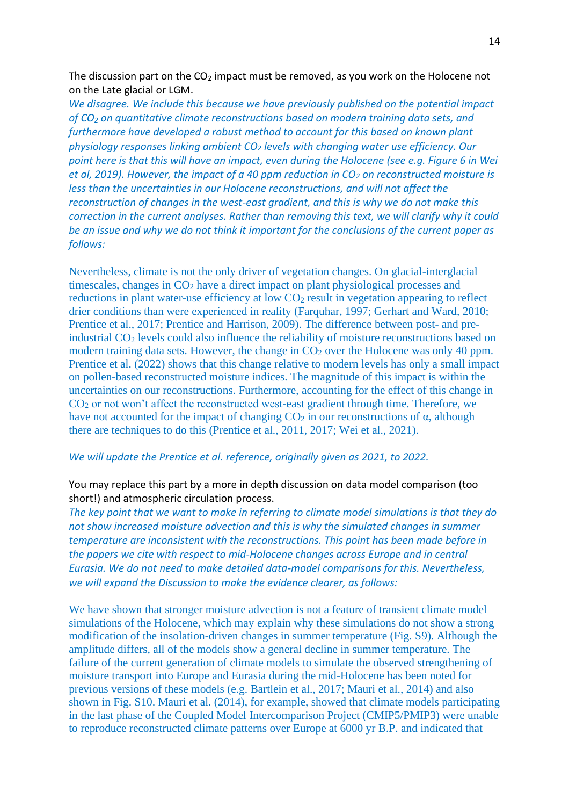The discussion part on the  $CO<sub>2</sub>$  impact must be removed, as you work on the Holocene not on the Late glacial or LGM.

*We disagree. We include this because we have previously published on the potential impact of CO<sup>2</sup> on quantitative climate reconstructions based on modern training data sets, and furthermore have developed a robust method to account for this based on known plant physiology responses linking ambient CO<sup>2</sup> levels with changing water use efficiency. Our point here is that this will have an impact, even during the Holocene (see e.g. Figure 6 in Wei et al, 2019). However, the impact of a 40 ppm reduction in CO<sup>2</sup> on reconstructed moisture is less than the uncertainties in our Holocene reconstructions, and will not affect the reconstruction of changes in the west-east gradient, and this is why we do not make this correction in the current analyses. Rather than removing this text, we will clarify why it could be an issue and why we do not think it important for the conclusions of the current paper as follows:*

Nevertheless, climate is not the only driver of vegetation changes. On glacial-interglacial timescales, changes in  $CO<sub>2</sub>$  have a direct impact on plant physiological processes and reductions in plant water-use efficiency at low  $CO<sub>2</sub>$  result in vegetation appearing to reflect drier conditions than were experienced in reality (Farquhar, 1997; Gerhart and Ward, 2010; Prentice et al., 2017; Prentice and Harrison, 2009). The difference between post- and preindustrial CO<sub>2</sub> levels could also influence the reliability of moisture reconstructions based on modern training data sets. However, the change in  $CO<sub>2</sub>$  over the Holocene was only 40 ppm. Prentice et al. (2022) shows that this change relative to modern levels has only a small impact on pollen-based reconstructed moisture indices. The magnitude of this impact is within the uncertainties on our reconstructions. Furthermore, accounting for the effect of this change in CO<sup>2</sup> or not won't affect the reconstructed west-east gradient through time. Therefore, we have not accounted for the impact of changing  $CO_2$  in our reconstructions of  $\alpha$ , although there are techniques to do this (Prentice et al., 2011, 2017; Wei et al., 2021).

### *We will update the Prentice et al. reference, originally given as 2021, to 2022.*

# You may replace this part by a more in depth discussion on data model comparison (too short!) and atmospheric circulation process.

*The key point that we want to make in referring to climate model simulations is that they do not show increased moisture advection and this is why the simulated changes in summer temperature are inconsistent with the reconstructions. This point has been made before in the papers we cite with respect to mid-Holocene changes across Europe and in central Eurasia. We do not need to make detailed data-model comparisons for this. Nevertheless, we will expand the Discussion to make the evidence clearer, as follows:* 

We have shown that stronger moisture advection is not a feature of transient climate model simulations of the Holocene, which may explain why these simulations do not show a strong modification of the insolation-driven changes in summer temperature (Fig. S9). Although the amplitude differs, all of the models show a general decline in summer temperature. The failure of the current generation of climate models to simulate the observed strengthening of moisture transport into Europe and Eurasia during the mid-Holocene has been noted for previous versions of these models (e.g. Bartlein et al., 2017; Mauri et al., 2014) and also shown in Fig. S10. Mauri et al. (2014), for example, showed that climate models participating in the last phase of the Coupled Model Intercomparison Project (CMIP5/PMIP3) were unable to reproduce reconstructed climate patterns over Europe at 6000 yr B.P. and indicated that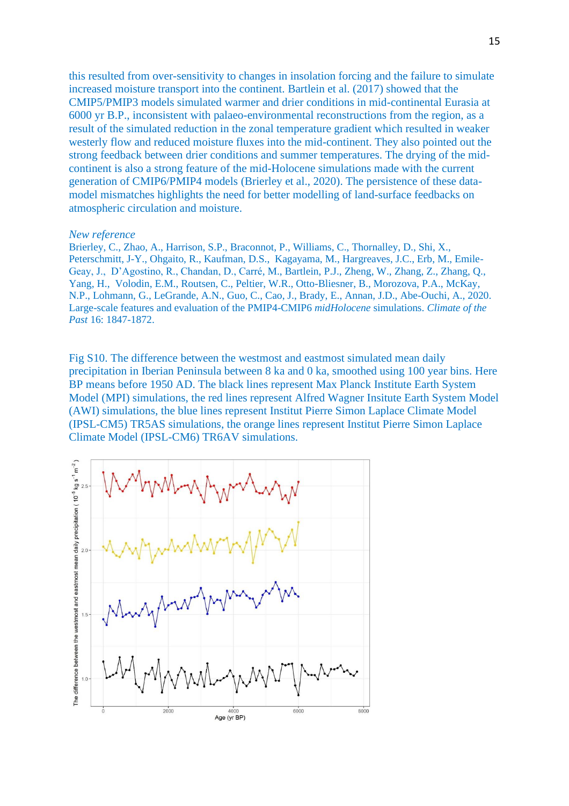this resulted from over-sensitivity to changes in insolation forcing and the failure to simulate increased moisture transport into the continent. Bartlein et al. (2017) showed that the CMIP5/PMIP3 models simulated warmer and drier conditions in mid-continental Eurasia at 6000 yr B.P., inconsistent with palaeo-environmental reconstructions from the region, as a result of the simulated reduction in the zonal temperature gradient which resulted in weaker westerly flow and reduced moisture fluxes into the mid-continent. They also pointed out the strong feedback between drier conditions and summer temperatures. The drying of the midcontinent is also a strong feature of the mid-Holocene simulations made with the current generation of CMIP6/PMIP4 models (Brierley et al., 2020). The persistence of these datamodel mismatches highlights the need for better modelling of land-surface feedbacks on atmospheric circulation and moisture.

## *New reference*

Brierley, C., Zhao, A., Harrison, S.P., Braconnot, P., Williams, C., Thornalley, D., Shi, X., Peterschmitt, J-Y., Ohgaito, R., Kaufman, D.S., Kagayama, M., Hargreaves, J.C., Erb, M., Emile-Geay, J., D'Agostino, R., Chandan, D., Carré, M., Bartlein, P.J., Zheng, W., Zhang, Z., Zhang, Q., Yang, H., Volodin, E.M., Routsen, C., Peltier, W.R., Otto-Bliesner, B., Morozova, P.A., McKay, N.P., Lohmann, G., LeGrande, A.N., Guo, C., Cao, J., Brady, E., Annan, J.D., Abe-Ouchi, A., 2020. Large-scale features and evaluation of the PMIP4-CMIP6 *midHolocene* simulations. *Climate of the Past* 16: 1847-1872.

Fig S10. The difference between the westmost and eastmost simulated mean daily precipitation in Iberian Peninsula between 8 ka and 0 ka, smoothed using 100 year bins. Here BP means before 1950 AD. The black lines represent Max Planck Institute Earth System Model (MPI) simulations, the red lines represent Alfred Wagner Insitute Earth System Model (AWI) simulations, the blue lines represent Institut Pierre Simon Laplace Climate Model (IPSL-CM5) TR5AS simulations, the orange lines represent Institut Pierre Simon Laplace Climate Model (IPSL-CM6) TR6AV simulations.

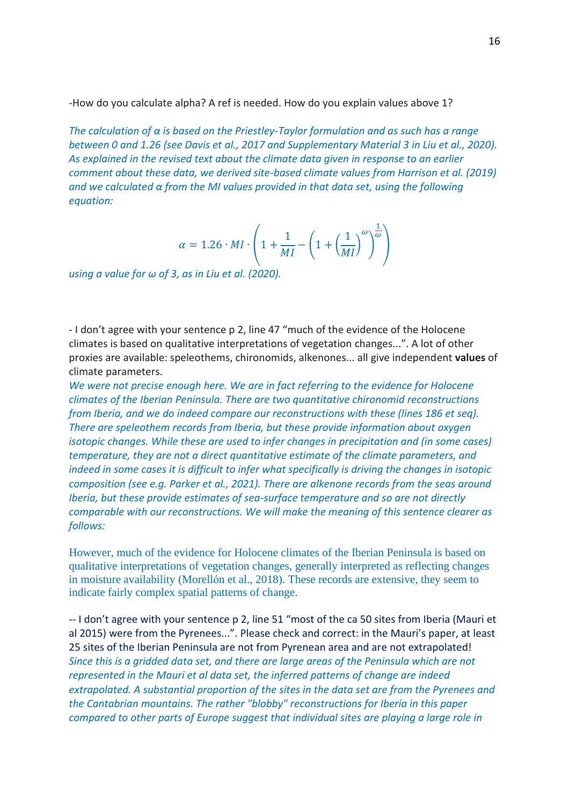-How do you calculate alpha? A ref is needed. How do you explain values above 1?

*The calculation of α is based on the Priestley-Taylor formulation and as such has a range between 0 and 1.26 (see Davis et al., 2017 and Supplementary Material 3 in Liu et al., 2020). As explained in the revised text about the climate data given in response to an earlier comment about these data, we derived site-based climate values from Harrison et al. (2019) and we calculated α from the MI values provided in that data set, using the following equation:*

$$
\alpha = 1.26 \cdot MI \cdot \left( 1 + \frac{1}{MI} - \left( 1 + \left( \frac{1}{MI} \right)^{\omega} \right)^{\frac{1}{\omega}} \right)
$$

*using a value for ω of 3, as in Liu et al. (2020).*

- I don't agree with your sentence p 2, line 47 "much of the evidence of the Holocene climates is based on qualitative interpretations of vegetation changes...". A lot of other proxies are available: speleothems, chironomids, alkenones... all give independent **values** of climate parameters.

*We were not precise enough here. We are in fact referring to the evidence for Holocene climates of the Iberian Peninsula. There are two quantitative chironomid reconstructions from Iberia, and we do indeed compare our reconstructions with these (lines 186 et seq). There are speleothem records from Iberia, but these provide information about oxygen isotopic changes. While these are used to infer changes in precipitation and (in some cases) temperature, they are not a direct quantitative estimate of the climate parameters, and indeed in some cases it is difficult to infer what specifically is driving the changes in isotopic composition (see e.g. Parker et al., 2021). There are alkenone records from the seas around Iberia, but these provide estimates of sea-surface temperature and so are not directly comparable with our reconstructions. We will make the meaning of this sentence clearer as follows:*

However, much of the evidence for Holocene climates of the Iberian Peninsula is based on qualitative interpretations of vegetation changes, generally interpreted as reflecting changes in moisture availability (Morellón et al., 2018). These records are extensive, they seem to indicate fairly complex spatial patterns of change.

-- I don't agree with your sentence p 2, line 51 "most of the ca 50 sites from Iberia (Mauri et al 2015) were from the Pyrenees...". Please check and correct: in the Mauri's paper, at least 25 sites of the Iberian Peninsula are not from Pyrenean area and are not extrapolated! *Since this is a gridded data set, and there are large areas of the Peninsula which are not represented in the Mauri et al data set, the inferred patterns of change are indeed extrapolated. A substantial proportion of the sites in the data set are from the Pyrenees and the Cantabrian mountains. The rather "blobby" reconstructions for Iberia in this paper compared to other parts of Europe suggest that individual sites are playing a large role in*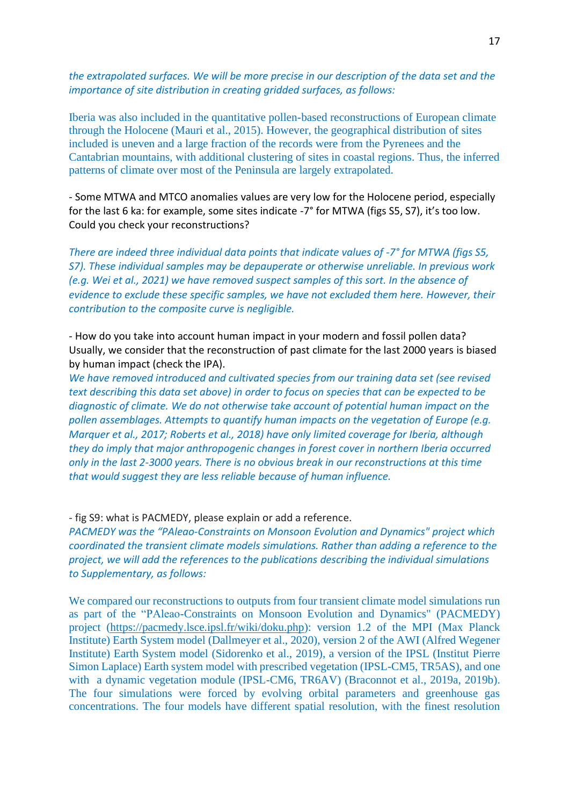*the extrapolated surfaces. We will be more precise in our description of the data set and the importance of site distribution in creating gridded surfaces, as follows:*

Iberia was also included in the quantitative pollen-based reconstructions of European climate through the Holocene (Mauri et al., 2015). However, the geographical distribution of sites included is uneven and a large fraction of the records were from the Pyrenees and the Cantabrian mountains, with additional clustering of sites in coastal regions. Thus, the inferred patterns of climate over most of the Peninsula are largely extrapolated.

- Some MTWA and MTCO anomalies values are very low for the Holocene period, especially for the last 6 ka: for example, some sites indicate -7° for MTWA (figs S5, S7), it's too low. Could you check your reconstructions?

*There are indeed three individual data points that indicate values of -7° for MTWA (figs S5, S7). These individual samples may be depauperate or otherwise unreliable. In previous work (e.g. Wei et al., 2021) we have removed suspect samples of this sort. In the absence of evidence to exclude these specific samples, we have not excluded them here. However, their contribution to the composite curve is negligible.*

- How do you take into account human impact in your modern and fossil pollen data? Usually, we consider that the reconstruction of past climate for the last 2000 years is biased by human impact (check the IPA).

*We have removed introduced and cultivated species from our training data set (see revised text describing this data set above) in order to focus on species that can be expected to be diagnostic of climate. We do not otherwise take account of potential human impact on the pollen assemblages. Attempts to quantify human impacts on the vegetation of Europe (e.g. Marquer et al., 2017; Roberts et al., 2018) have only limited coverage for Iberia, although they do imply that major anthropogenic changes in forest cover in northern Iberia occurred only in the last 2-3000 years. There is no obvious break in our reconstructions at this time that would suggest they are less reliable because of human influence.* 

### - fig S9: what is PACMEDY, please explain or add a reference.

*PACMEDY was the "PAleao-Constraints on Monsoon Evolution and Dynamics" project which coordinated the transient climate models simulations. Rather than adding a reference to the project, we will add the references to the publications describing the individual simulations to Supplementary, as follows:*

We compared our reconstructions to outputs from four transient climate model simulations run as part of the "PAleao-Constraints on Monsoon Evolution and Dynamics" (PACMEDY) project [\(https://pacmedy.lsce.ipsl.fr/wiki/doku.php\)](https://pacmedy.lsce.ipsl.fr/wiki/doku.php): version 1.2 of the MPI (Max Planck Institute) Earth System model (Dallmeyer et al., 2020), version 2 of the AWI (Alfred Wegener Institute) Earth System model (Sidorenko et al., 2019), a version of the IPSL (Institut Pierre Simon Laplace) Earth system model with prescribed vegetation (IPSL-CM5, TR5AS), and one with a dynamic vegetation module (IPSL-CM6, TR6AV) (Braconnot et al., 2019a, 2019b). The four simulations were forced by evolving orbital parameters and greenhouse gas concentrations. The four models have different spatial resolution, with the finest resolution